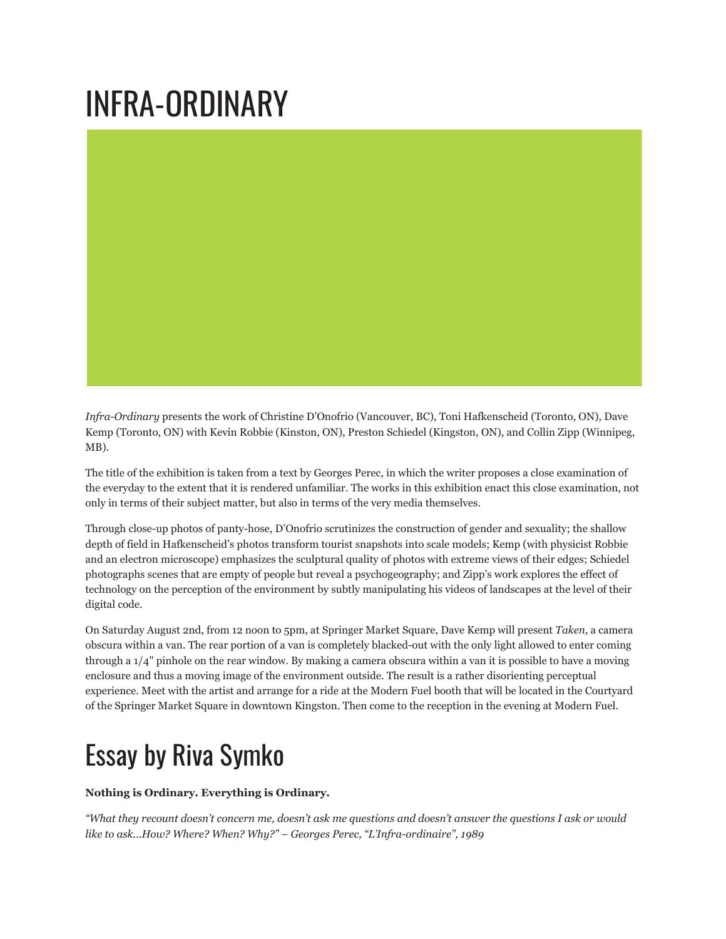## INFRA-ORDINARY

*Infra-Ordinary* presents the work of Christine D'Onofrio (Vancouver, BC), Toni Hafkenscheid (Toronto, ON), Dave Kemp (Toronto, ON) with Kevin Robbie (Kinston, ON), Preston Schiedel (Kingston, ON), and Collin Zipp (Winnipeg, MB).

The title of the exhibition is taken from a text by Georges Perec, in which the writer proposes a close examination of the everyday to the extent that it is rendered unfamiliar. The works in this exhibition enact this close examination, not only in terms of their subject matter, but also in terms of the very media themselves.

Through close-up photos of panty-hose, D'Onofrio scrutinizes the construction of gender and sexuality; the shallow depth of field in Hafkenscheid's photos transform tourist snapshots into scale models; Kemp (with physicist Robbie and an electron microscope) emphasizes the sculptural quality of photos with extreme views of their edges; Schiedel photographs scenes that are empty of people but reveal a psychogeography; and Zipp's work explores the effect of technology on the perception of the environment by subtly manipulating his videos of landscapes at the level of their digital code.

On Saturday August 2nd, from 12 noon to 5pm, at Springer Market Square, Dave Kemp will present *Taken*, a camera obscura within a van. The rear portion of a van is completely blacked-out with the only light allowed to enter coming through a 1/4" pinhole on the rear window. By making a camera obscura within a van it is possible to have a moving enclosure and thus a moving image of the environment outside. The result is a rather disorienting perceptual experience. Meet with the artist and arrange for a ride at the Modern Fuel booth that will be located in the Courtyard of the Springer Market Square in downtown Kingston. Then come to the reception in the evening at Modern Fuel.

## Essay by Riva Symko

**Nothing is Ordinary. Everything is Ordinary.**

*"What they recount doesn't concern me, doesn't ask me questions and doesn't answer the questions I ask or would like to ask...How? Where? When? Why?" – Georges Perec, "L'Infra-ordinaire", 1989*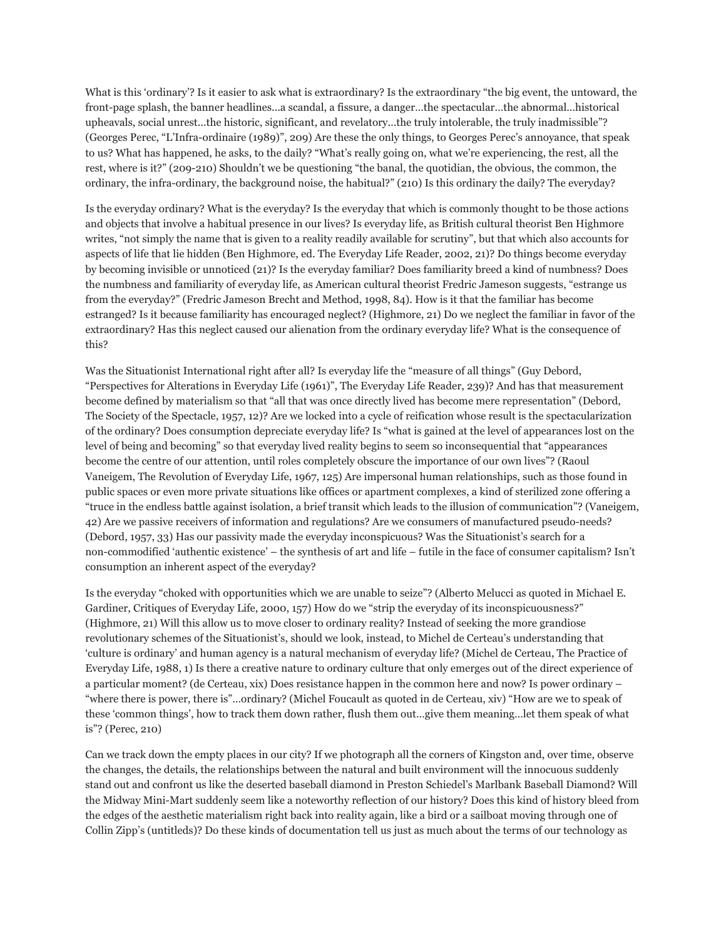What is this 'ordinary'? Is it easier to ask what is extraordinary? Is the extraordinary "the big event, the untoward, the front-page splash, the banner headlines...a scandal, a fissure, a danger…the spectacular…the abnormal…historical upheavals, social unrest...the historic, significant, and revelatory…the truly intolerable, the truly inadmissible"? (Georges Perec, "L'Infra-ordinaire (1989)", 209) Are these the only things, to Georges Perec's annoyance, that speak to us? What has happened, he asks, to the daily? "What's really going on, what we're experiencing, the rest, all the rest, where is it?" (209-210) Shouldn't we be questioning "the banal, the quotidian, the obvious, the common, the ordinary, the infra-ordinary, the background noise, the habitual?" (210) Is this ordinary the daily? The everyday?

Is the everyday ordinary? What is the everyday? Is the everyday that which is commonly thought to be those actions and objects that involve a habitual presence in our lives? Is everyday life, as British cultural theorist Ben Highmore writes, "not simply the name that is given to a reality readily available for scrutiny", but that which also accounts for aspects of life that lie hidden (Ben Highmore, ed. The Everyday Life Reader, 2002, 21)? Do things become everyday by becoming invisible or unnoticed (21)? Is the everyday familiar? Does familiarity breed a kind of numbness? Does the numbness and familiarity of everyday life, as American cultural theorist Fredric Jameson suggests, "estrange us from the everyday?" (Fredric Jameson Brecht and Method, 1998, 84). How is it that the familiar has become estranged? Is it because familiarity has encouraged neglect? (Highmore, 21) Do we neglect the familiar in favor of the extraordinary? Has this neglect caused our alienation from the ordinary everyday life? What is the consequence of this?

Was the Situationist International right after all? Is everyday life the "measure of all things" (Guy Debord, "Perspectives for Alterations in Everyday Life (1961)", The Everyday Life Reader, 239)? And has that measurement become defined by materialism so that "all that was once directly lived has become mere representation" (Debord, The Society of the Spectacle, 1957, 12)? Are we locked into a cycle of reification whose result is the spectacularization of the ordinary? Does consumption depreciate everyday life? Is "what is gained at the level of appearances lost on the level of being and becoming" so that everyday lived reality begins to seem so inconsequential that "appearances become the centre of our attention, until roles completely obscure the importance of our own lives"? (Raoul Vaneigem, The Revolution of Everyday Life, 1967, 125) Are impersonal human relationships, such as those found in public spaces or even more private situations like offices or apartment complexes, a kind of sterilized zone offering a "truce in the endless battle against isolation, a brief transit which leads to the illusion of communication"? (Vaneigem, 42) Are we passive receivers of information and regulations? Are we consumers of manufactured pseudo-needs? (Debord, 1957, 33) Has our passivity made the everyday inconspicuous? Was the Situationist's search for a non-commodified 'authentic existence' – the synthesis of art and life – futile in the face of consumer capitalism? Isn't consumption an inherent aspect of the everyday?

Is the everyday "choked with opportunities which we are unable to seize"? (Alberto Melucci as quoted in Michael E. Gardiner, Critiques of Everyday Life, 2000, 157) How do we "strip the everyday of its inconspicuousness?" (Highmore, 21) Will this allow us to move closer to ordinary reality? Instead of seeking the more grandiose revolutionary schemes of the Situationist's, should we look, instead, to Michel de Certeau's understanding that 'culture is ordinary' and human agency is a natural mechanism of everyday life? (Michel de Certeau, The Practice of Everyday Life, 1988, 1) Is there a creative nature to ordinary culture that only emerges out of the direct experience of a particular moment? (de Certeau, xix) Does resistance happen in the common here and now? Is power ordinary – "where there is power, there is"…ordinary? (Michel Foucault as quoted in de Certeau, xiv) "How are we to speak of these 'common things', how to track them down rather, flush them out…give them meaning…let them speak of what is"? (Perec, 210)

Can we track down the empty places in our city? If we photograph all the corners of Kingston and, over time, observe the changes, the details, the relationships between the natural and built environment will the innocuous suddenly stand out and confront us like the deserted baseball diamond in Preston Schiedel's Marlbank Baseball Diamond? Will the Midway Mini-Mart suddenly seem like a noteworthy reflection of our history? Does this kind of history bleed from the edges of the aesthetic materialism right back into reality again, like a bird or a sailboat moving through one of Collin Zipp's (untitleds)? Do these kinds of documentation tell us just as much about the terms of our technology as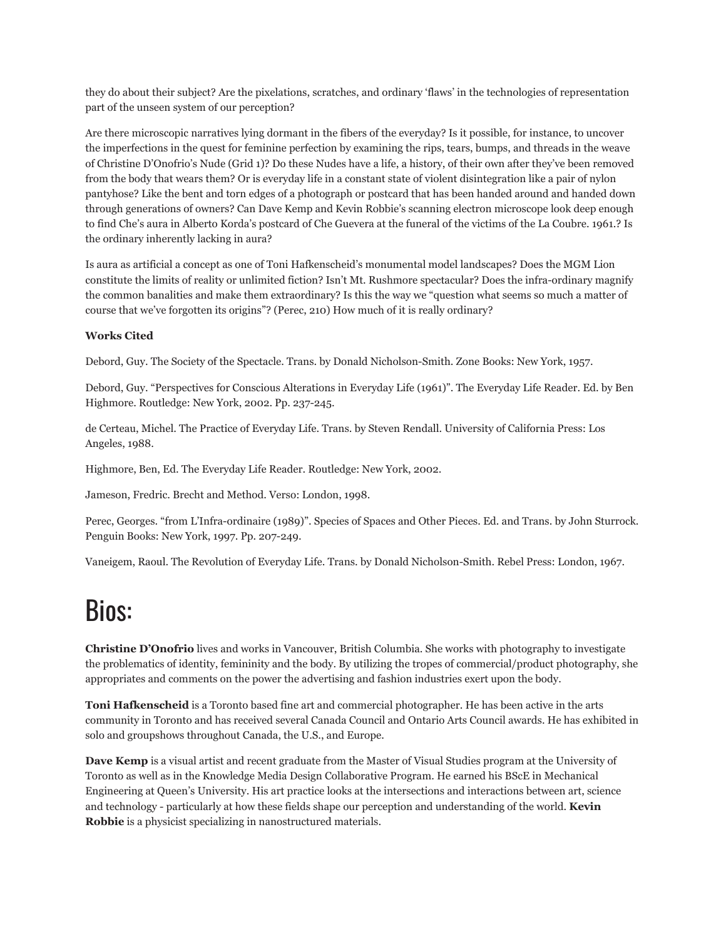they do about their subject? Are the pixelations, scratches, and ordinary 'flaws' in the technologies of representation part of the unseen system of our perception?

Are there microscopic narratives lying dormant in the fibers of the everyday? Is it possible, for instance, to uncover the imperfections in the quest for feminine perfection by examining the rips, tears, bumps, and threads in the weave of Christine D'Onofrio's Nude (Grid 1)? Do these Nudes have a life, a history, of their own after they've been removed from the body that wears them? Or is everyday life in a constant state of violent disintegration like a pair of nylon pantyhose? Like the bent and torn edges of a photograph or postcard that has been handed around and handed down through generations of owners? Can Dave Kemp and Kevin Robbie's scanning electron microscope look deep enough to find Che's aura in Alberto Korda's postcard of Che Guevera at the funeral of the victims of the La Coubre. 1961.? Is the ordinary inherently lacking in aura?

Is aura as artificial a concept as one of Toni Hafkenscheid's monumental model landscapes? Does the MGM Lion constitute the limits of reality or unlimited fiction? Isn't Mt. Rushmore spectacular? Does the infra-ordinary magnify the common banalities and make them extraordinary? Is this the way we "question what seems so much a matter of course that we've forgotten its origins"? (Perec, 210) How much of it is really ordinary?

## **Works Cited**

Debord, Guy. The Society of the Spectacle. Trans. by Donald Nicholson-Smith. Zone Books: New York, 1957.

Debord, Guy. "Perspectives for Conscious Alterations in Everyday Life (1961)". The Everyday Life Reader. Ed. by Ben Highmore. Routledge: New York, 2002. Pp. 237-245.

de Certeau, Michel. The Practice of Everyday Life. Trans. by Steven Rendall. University of California Press: Los Angeles, 1988.

Highmore, Ben, Ed. The Everyday Life Reader. Routledge: New York, 2002.

Jameson, Fredric. Brecht and Method. Verso: London, 1998.

Perec, Georges. "from L'Infra-ordinaire (1989)". Species of Spaces and Other Pieces. Ed. and Trans. by John Sturrock. Penguin Books: New York, 1997. Pp. 207-249.

Vaneigem, Raoul. The Revolution of Everyday Life. Trans. by Donald Nicholson-Smith. Rebel Press: London, 1967.

## Bios:

**Christine D'Onofrio** lives and works in Vancouver, British Columbia. She works with photography to investigate the problematics of identity, femininity and the body. By utilizing the tropes of commercial/product photography, she appropriates and comments on the power the advertising and fashion industries exert upon the body.

**Toni Hafkenscheid** is a Toronto based fine art and commercial photographer. He has been active in the arts community in Toronto and has received several Canada Council and Ontario Arts Council awards. He has exhibited in solo and groupshows throughout Canada, the U.S., and Europe.

**Dave Kemp** is a visual artist and recent graduate from the Master of Visual Studies program at the University of Toronto as well as in the Knowledge Media Design Collaborative Program. He earned his BScE in Mechanical Engineering at Queen's University. His art practice looks at the intersections and interactions between art, science and technology - particularly at how these fields shape our perception and understanding of the world. **Kevin Robbie** is a physicist specializing in nanostructured materials.